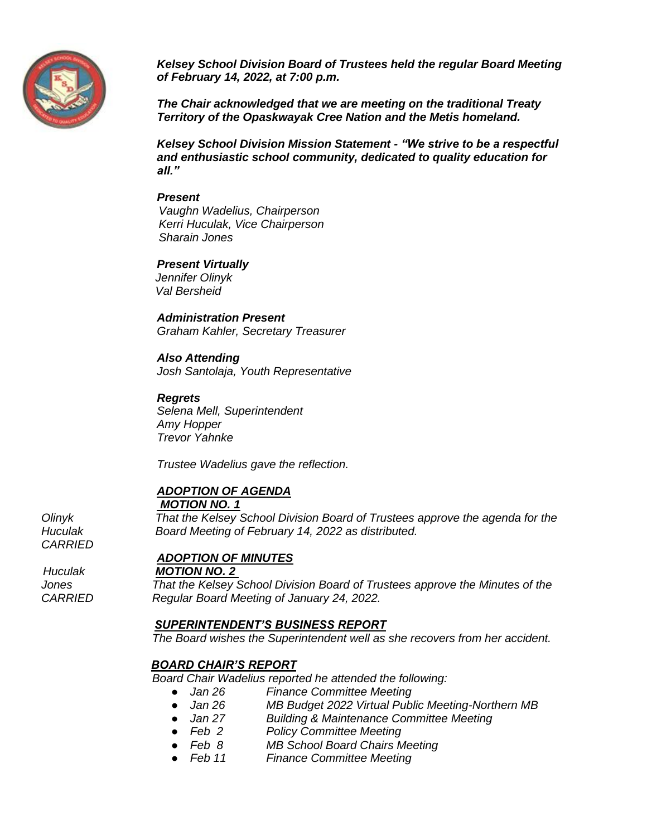

*Kelsey School Division Board of Trustees held the regular Board Meeting of February 14, 2022, at 7:00 p.m.*

*The Chair acknowledged that we are meeting on the traditional Treaty Territory of the Opaskwayak Cree Nation and the Metis homeland.*

*Kelsey School Division Mission Statement - "We strive to be a respectful and enthusiastic school community, dedicated to quality education for all."*

#### *Present*

 *Vaughn Wadelius, Chairperson Kerri Huculak, Vice Chairperson Sharain Jones* 

*Present Virtually Jennifer Olinyk* 

*Val Bersheid Administration Present* 

*Graham Kahler, Secretary Treasurer*

### *Also Attending*

*Josh Santolaja, Youth Representative*

### *Regrets*

*Selena Mell, Superintendent Amy Hopper Trevor Yahnke*

*Trustee Wadelius gave the reflection.* 

# *ADOPTION OF AGENDA*

### *MOTION NO. 1*

*CARRIED*

*Olinyk That the Kelsey School Division Board of Trustees approve the agenda for the Huculak Board Meeting of February 14, 2022 as distributed.*

### *ADOPTION OF MINUTES*

### *Huculak MOTION NO. 2*

*Jones That the Kelsey School Division Board of Trustees approve the Minutes of the CARRIED Regular Board Meeting of January 24, 2022.* 

### *SUPERINTENDENT'S BUSINESS REPORT*

*The Board wishes the Superintendent well as she recovers from her accident.*

### *BOARD CHAIR'S REPORT*

*Board Chair Wadelius reported he attended the following:*

- *Jan 26 Finance Committee Meeting*
- *Jan 26 MB Budget 2022 Virtual Public Meeting-Northern MB*
- **Building & Maintenance Committee Meeting**
- *Feb 2 Policy Committee Meeting*
- *Feb 8 MB School Board Chairs Meeting*<br>● *Feb 11 Finance Committee Meeting*
- **Finance Committee Meeting**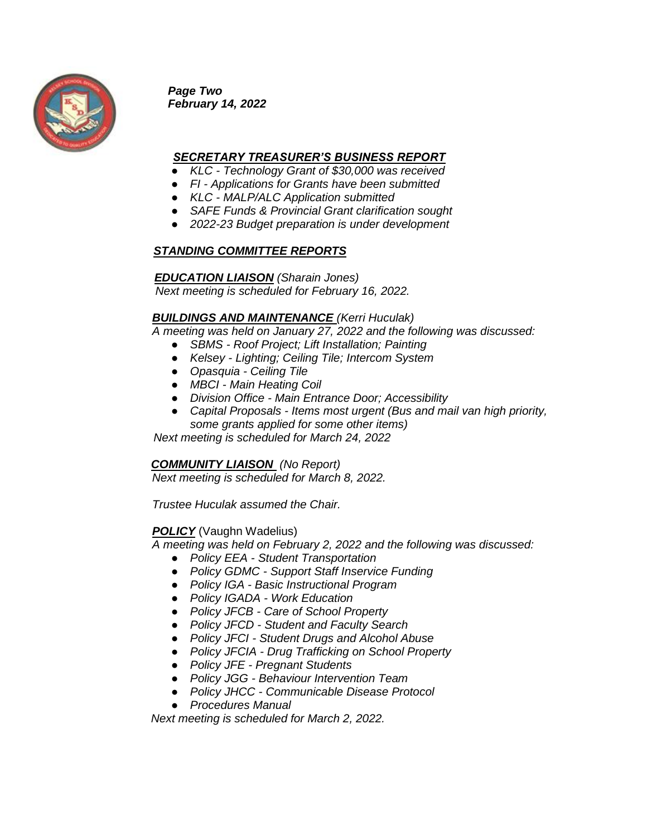

*Page Two February 14, 2022*

## *SECRETARY TREASURER'S BUSINESS REPORT*

- *KLC - Technology Grant of \$30,000 was received*
- *FI - Applications for Grants have been submitted*
- *KLC - MALP/ALC Application submitted*
- *SAFE Funds & Provincial Grant clarification sought*
- *2022-23 Budget preparation is under development*

### *STANDING COMMITTEE REPORTS*

### *EDUCATION LIAISON (Sharain Jones)*

 *Next meeting is scheduled for February 16, 2022.* 

### *BUILDINGS AND MAINTENANCE (Kerri Huculak)*

 *A meeting was held on January 27, 2022 and the following was discussed:* 

- *SBMS - Roof Project; Lift Installation; Painting*
- *Kelsey - Lighting; Ceiling Tile; Intercom System*
- *Opasquia - Ceiling Tile*
- *MBCI - Main Heating Coil*
- *Division Office - Main Entrance Door; Accessibility*
- *Capital Proposals - Items most urgent (Bus and mail van high priority, some grants applied for some other items)*

 *Next meeting is scheduled for March 24, 2022*

### *COMMUNITY LIAISON (No Report)*

*Next meeting is scheduled for March 8, 2022.*

*Trustee Huculak assumed the Chair.*

### *POLICY* (Vaughn Wadelius)

*A meeting was held on February 2, 2022 and the following was discussed:*

- *Policy EEA - Student Transportation*
- *Policy GDMC - Support Staff Inservice Funding*
- *Policy IGA - Basic Instructional Program*
- *Policy IGADA - Work Education*
- *Policy JFCB - Care of School Property*
- *Policy JFCD - Student and Faculty Search*
- *Policy JFCI - Student Drugs and Alcohol Abuse*
- *Policy JFCIA - Drug Trafficking on School Property*
- *Policy JFE - Pregnant Students*
- *Policy JGG - Behaviour Intervention Team*
- *Policy JHCC - Communicable Disease Protocol*
- *Procedures Manual*

 *Next meeting is scheduled for March 2, 2022.*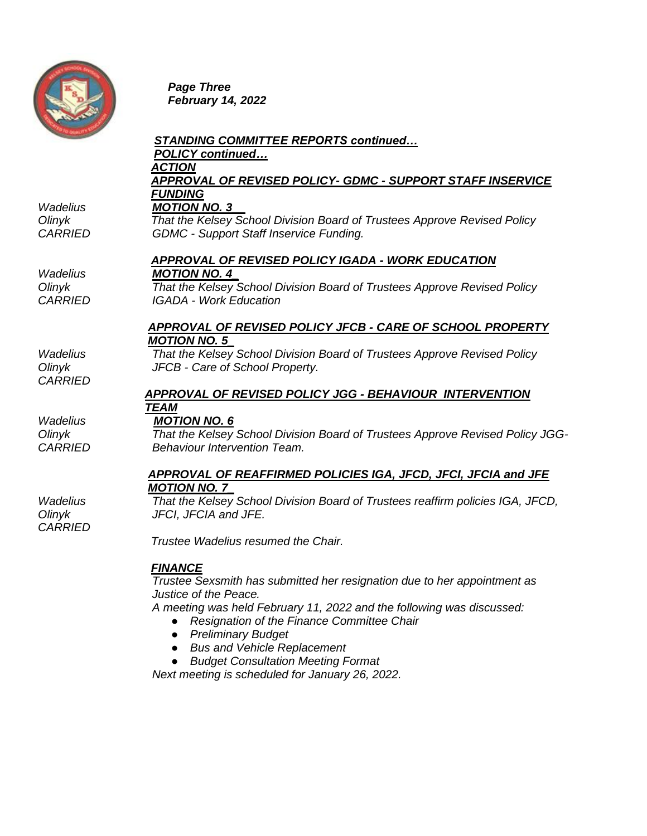

*Page Three February 14, 2022* 

 *POLICY continued…*

*Wadelius MOTION NO. 3\_\_*

*Wadelius MOTION NO. 4\_*

# *ACTION APPROVAL OF REVISED POLICY- GDMC - SUPPORT STAFF INSERVICE FUNDING*

*Olinyk That the Kelsey School Division Board of Trustees Approve Revised Policy CARRIED GDMC - Support Staff Inservice Funding.*

# *APPROVAL OF REVISED POLICY IGADA - WORK EDUCATION*

 *STANDING COMMITTEE REPORTS continued…*

*Olinyk That the Kelsey School Division Board of Trustees Approve Revised Policy CARRIED IGADA - Work Education*

## *APPROVAL OF REVISED POLICY JFCB - CARE OF SCHOOL PROPERTY MOTION NO. 5\_*

*Wadelius That the Kelsey School Division Board of Trustees Approve Revised Policy Olinyk JFCB - Care of School Property.*

# *CARRIED*

*CARRIED*

## *APPROVAL OF REVISED POLICY JGG - BEHAVIOUR INTERVENTION TEAM*

# *Wadelius MOTION NO. 6*

*Olinyk That the Kelsey School Division Board of Trustees Approve Revised Policy JGG-***Behaviour Intervention Team.** 

# *APPROVAL OF REAFFIRMED POLICIES IGA, JFCD, JFCI, JFCIA and JFE MOTION NO. 7\_*

*Wadelius That the Kelsey School Division Board of Trustees reaffirm policies IGA, JFCD, Olinyk JFCI, JFCIA and JFE.*

 *Trustee Wadelius resumed the Chair.*

# *FINANCE*

*Trustee Sexsmith has submitted her resignation due to her appointment as Justice of the Peace.*

*A meeting was held February 11, 2022 and the following was discussed:* 

- *Resignation of the Finance Committee Chair* 
	- *Preliminary Budget*
	- *Bus and Vehicle Replacement*
	- *Budget Consultation Meeting Format*

*Next meeting is scheduled for January 26, 2022.*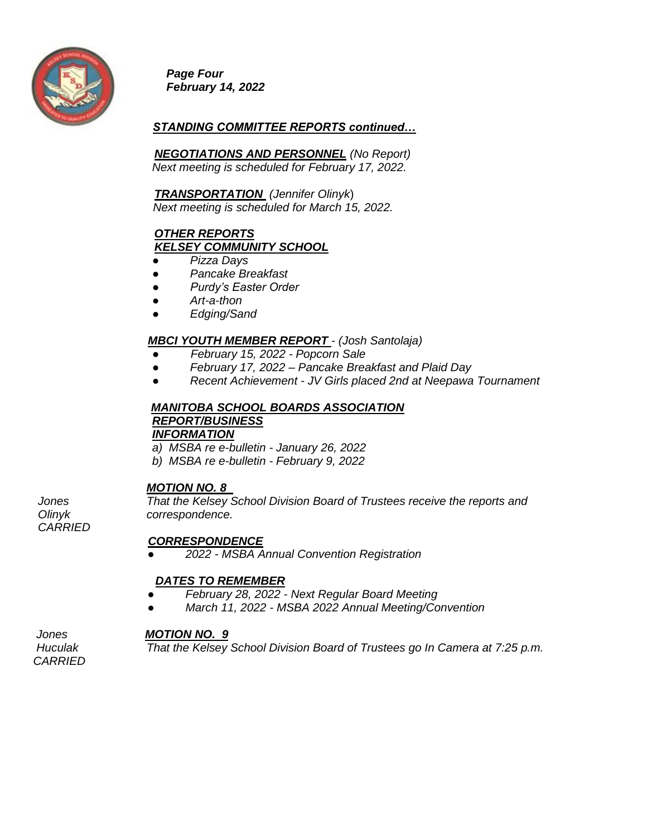

*Page Four February 14, 2022* 

## *STANDING COMMITTEE REPORTS continued…*

 *NEGOTIATIONS AND PERSONNEL (No Report) Next meeting is scheduled for February 17, 2022.* 

 *TRANSPORTATION (Jennifer Olinyk*)  *Next meeting is scheduled for March 15, 2022.* 

## *OTHER REPORTS KELSEY COMMUNITY SCHOOL*

- *Pizza Days*
- *Pancake Breakfast*
- *Purdy's Easter Order*
- *Art-a-thon*
- *Edging/Sand*

### *MBCI YOUTH MEMBER REPORT - (Josh Santolaja)*

- ● *February 15, 2022 - Popcorn Sale*
- *February 17, 2022 – Pancake Breakfast and Plaid Day*
- *Recent Achievement - JV Girls placed 2nd at Neepawa Tournament*

### *MANITOBA SCHOOL BOARDS ASSOCIATION REPORT/BUSINESS INFORMATION*

*a) MSBA re e-bulletin - January 26, 2022 b) MSBA re e-bulletin - February 9, 2022* 

# *MOTION NO. 8*

*Jones That the Kelsey School Division Board of Trustees receive the reports and Olinyk correspondence.* 

*CARRIED*

### *CORRESPONDENCE*

● *2022 - MSBA Annual Convention Registration*

# *DATES TO REMEMBER*

- *February 28, 2022 - Next Regular Board Meeting*
- *March 11, 2022 - MSBA 2022 Annual Meeting/Convention*

### *Jones MOTION NO. 9*

*CARRIED* 

*Huculak That the Kelsey School Division Board of Trustees go In Camera at 7:25 p.m.*